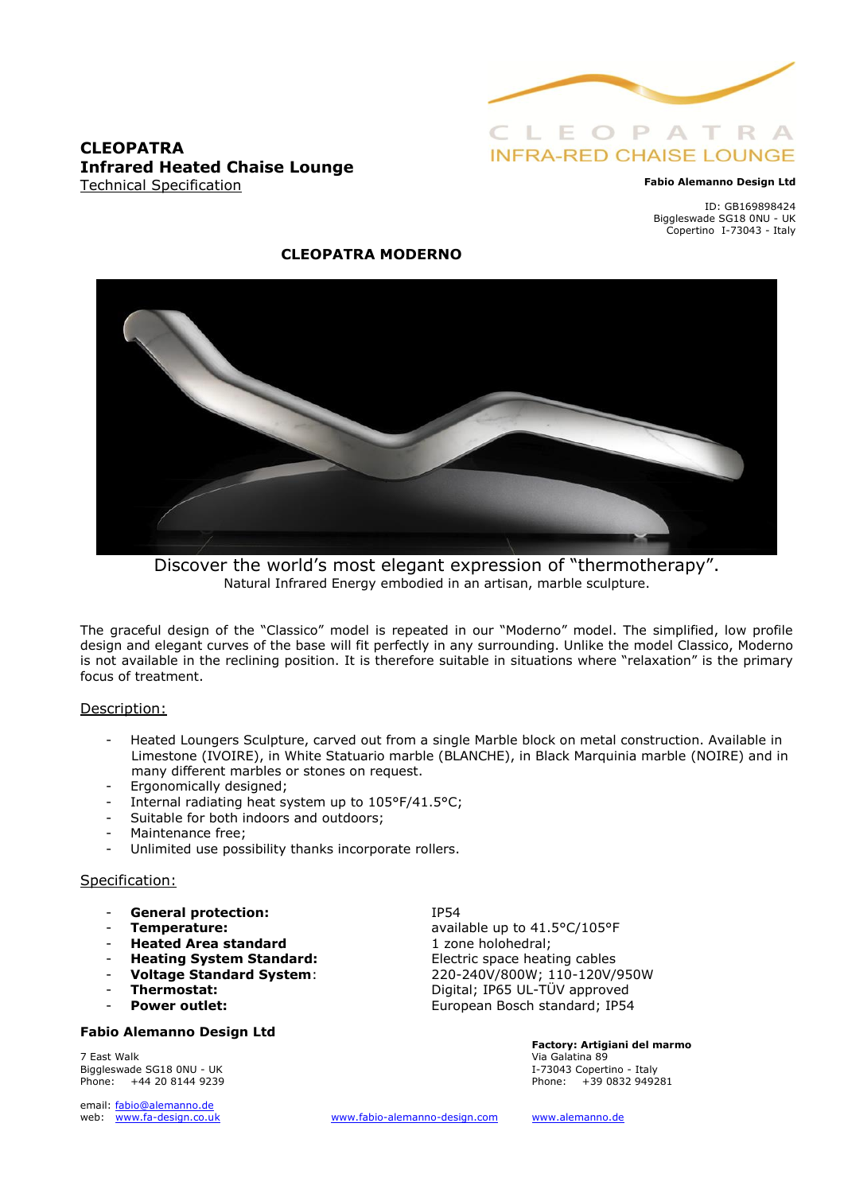

### **CLEOPATRA Infrared Heated Chaise Lounge** Technical Specification

#### **Fabio Alemanno Design Ltd**

ID: GB169898424 Biggleswade SG18 0NU - UK Copertino I-73043 - Italy

## **CLEOPATRA MODERNO**



Discover the world's most elegant expression of "thermotherapy". Natural Infrared Energy embodied in an artisan, marble sculpture.

The graceful design of the "Classico" model is repeated in our "Moderno" model. The simplified, low profile design and elegant curves of the base will fit perfectly in any surrounding. Unlike the model Classico, Moderno is not available in the reclining position. It is therefore suitable in situations where "relaxation" is the primary focus of treatment.

### Description:

- Heated Loungers Sculpture, carved out from a single Marble block on metal construction. Available in Limestone (IVOIRE), in White Statuario marble (BLANCHE), in Black Marquinia marble (NOIRE) and in many different marbles or stones on request.
- Ergonomically designed;
- Internal radiating heat system up to 105°F/41.5°C;
- Suitable for both indoors and outdoors;
- Maintenance free:
- Unlimited use possibility thanks incorporate rollers.

### Specification:

- General protection: IP54
- 
- **Heated Area standard** 1 zone holohedral;
- 
- 
- 
- 

### **Fabio Alemanno Design Ltd**

7 East Walk Via Galatina 89 Biggleswade SG18 0NU - UK<br>Phone:  $+442081449239$ Phone: +44 20 8144 9239 Phone: +39 0832 949281

email: [fabio@alemanno.de](mailto:fabio@alemanno.de) 

**Temperature: Temperature: Temperature: available up to 41.5°C/105°F Heating System Standard:** Electric space heating cables<br> **Voltage Standard System:** 220-240V/800W; 110-120V/ - **Voltage Standard System**: 220-240V/800W; 110-120V/950W - **Thermostat:** Digital; IP65 UL-TÜV approved **Power outlet:** European Bosch standard; IP54

**Factory: Artigiani del marmo** 

web: [www.fa-design.co.uk](http://www.fa-design.co.uk/) [www.fabio-alemanno-design.com](http://www.fabio-alemanno-design.com/) [www.alemanno.de](http://www.alemanno.de/)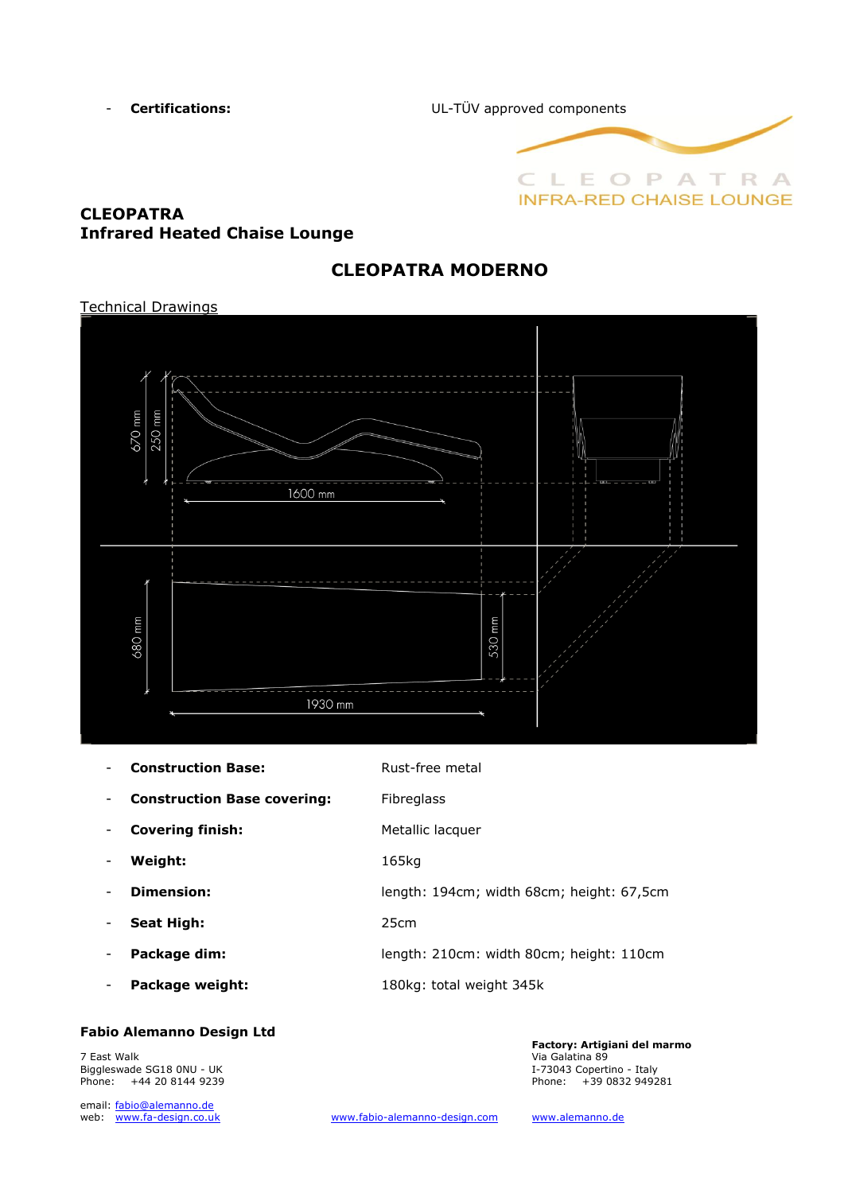- **Certifications:** UL-TÜV approved components



## **CLEOPATRA Infrared Heated Chaise Lounge**

# **CLEOPATRA MODERNO**

# Technical Drawings 670 mm 250 n  $1600$  mm 530 mm mm 680<sub>r</sub> 1930 mm

|                              | <b>Construction Base:</b>          | Rust-free metal                           |
|------------------------------|------------------------------------|-------------------------------------------|
| -                            | <b>Construction Base covering:</b> | <b>Fibreglass</b>                         |
|                              | <b>Covering finish:</b>            | Metallic lacquer                          |
| -                            | Weight:                            | 165kg                                     |
|                              | Dimension:                         | length: 194cm; width 68cm; height: 67,5cm |
|                              | <b>Seat High:</b>                  | 25cm                                      |
| -                            | Package dim:                       | length: 210cm: width 80cm; height: 110cm  |
| $\qquad \qquad \blacksquare$ | Package weight:                    | 180kg: total weight 345k                  |
|                              |                                    |                                           |

### **Fabio Alemanno Design Ltd**

7 East Walk Via Galatina 89 Biggleswade SG18 0NU - UK I-73043 Copertino - Italy Phone: +44 20 8144 9239

email: fabio@alemanno.de<br>web: www.fa-design.co.uk

**Factory: Artigiani del marmo**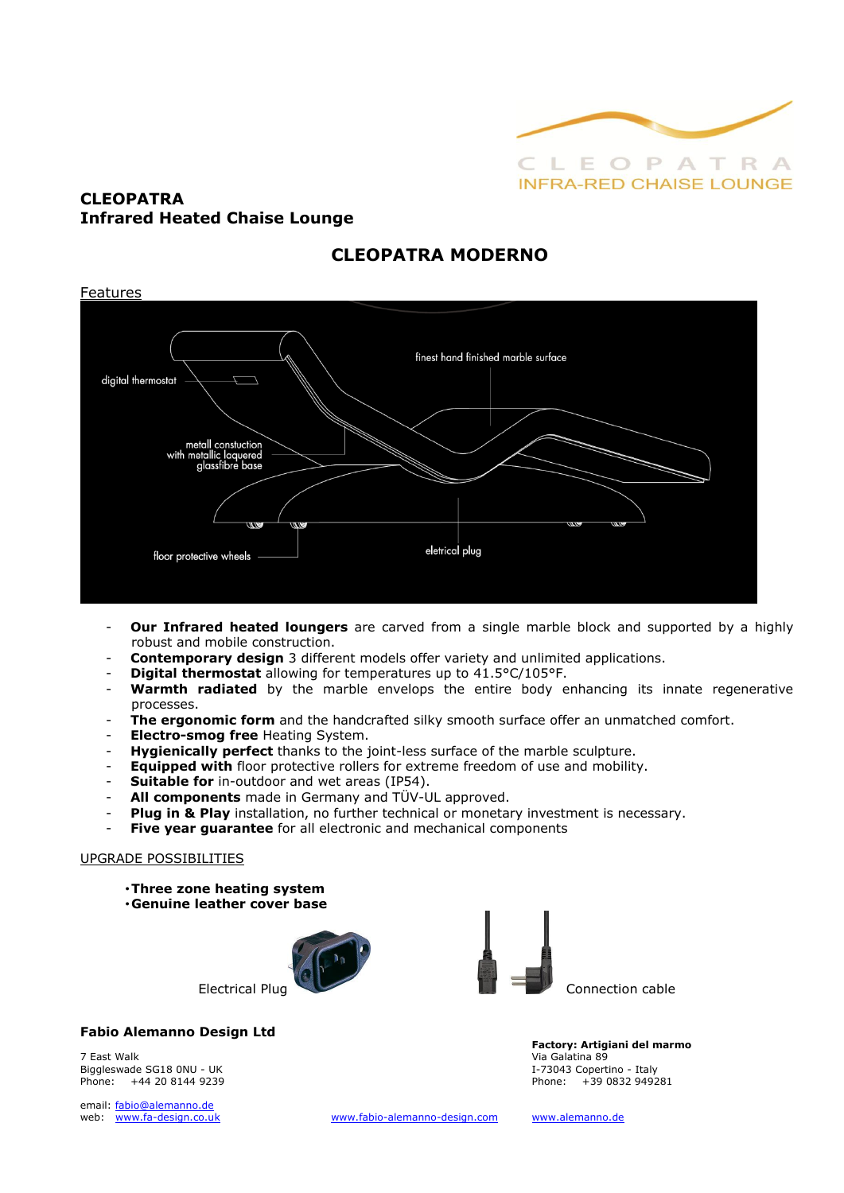

## **CLEOPATRA Infrared Heated Chaise Lounge**

## **CLEOPATRA MODERNO**



- **Our Infrared heated loungers** are carved from a single marble block and supported by a highly robust and mobile construction.
- **Contemporary design** 3 different models offer variety and unlimited applications.
- **Digital thermostat** allowing for temperatures up to 41.5°C/105°F.
- Warmth radiated by the marble envelops the entire body enhancing its innate regenerative processes.
- The ergonomic form and the handcrafted silky smooth surface offer an unmatched comfort.
- **Electro-smog free** Heating System.
- **Hygienically perfect** thanks to the joint-less surface of the marble sculpture.
- **Equipped with** floor protective rollers for extreme freedom of use and mobility.
- **Suitable for** in-outdoor and wet areas (IP54).
- All components made in Germany and TÜV-UL approved.
- Plug in & Play installation, no further technical or monetary investment is necessary.
- **Five year guarantee** for all electronic and mechanical components

### UPGRADE POSSIBILITIES

•**Three zone heating system** •**Genuine leather cover base**





### **Fabio Alemanno Design Ltd**

7 East Walk Via Galatina 89 Biggleswade SG18 0NU - UK I-73043 Copertino - Italy

email: [fabio@alemanno.de](mailto:fabio@alemanno.de) 

**Factory: Artigiani del marmo**  +39 0832 949281

web: [www.fa-design.co.uk](http://www.fa-design.co.uk/) [www.fabio-alemanno-design.com](http://www.fabio-alemanno-design.com/) [www.alemanno.de](http://www.alemanno.de/)